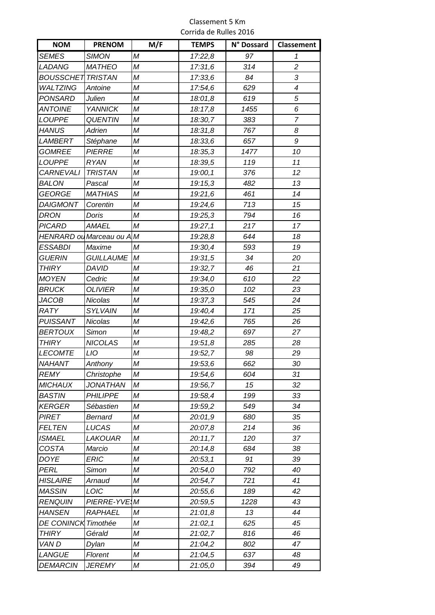#### Classement 5 Km Corrida de Rulles 2016

| <b>NOM</b>          | <b>PRENOM</b>    | M/F              | <b>TEMPS</b> | N° Dossard | Classement     |
|---------------------|------------------|------------------|--------------|------------|----------------|
| <b>SEMES</b>        | <b>SIMON</b>     | М                | 17:22,8      | 97         | 1              |
| LADANG              | <b>MATHEO</b>    | M                | 17:31,6      | 314        | $\overline{c}$ |
| BOUSSCHET TRISTAN   |                  | M                | 17:33,6      | 84         | 3              |
| <b>WALTZING</b>     | Antoine          | М                | 17:54,6      | 629        | 4              |
| PONSARD             | Julien           | $\boldsymbol{M}$ | 18:01,8      | 619        | 5              |
| ANTOINE             | <b>YANNICK</b>   | М                | 18:17,8      | 1455       | 6              |
| LOUPPE              | <b>QUENTIN</b>   | М                | 18:30,7      | 383        | $\overline{7}$ |
| <b>HANUS</b>        | Adrien           | М                | 18:31,8      | 767        | 8              |
| <i>LAMBERT</i>      | Stéphane         | М                | 18:33,6      | 657        | 9              |
| <b>GOMREE</b>       | <b>PIERRE</b>    | $\cal M$         | 18:35,3      | 1477       | 10             |
| <b>LOUPPE</b>       | <b>RYAN</b>      | М                | 18:39,5      | 119        | 11             |
| <b>CARNEVALI</b>    | <b>TRISTAN</b>   | М                | 19:00,1      | 376        | 12             |
| <b>BALON</b>        | Pascal           | М                | 19:15,3      | 482        | 13             |
| <b>GEORGE</b>       | <b>MATHIAS</b>   | М                | 19:21,6      | 461        | 14             |
| <b>DAIGMONT</b>     | Corentin         | $\cal M$         | 19:24,6      | 713        | 15             |
| DRON                | Doris            | М                | 19:25,3      | 794        | 16             |
| <b>PICARD</b>       | <b>AMAEL</b>     | M                | 19:27,1      | 217        | 17             |
| HENRARD ou          | Marceau ou A     | M                | 19:28,8      | 644        | 18             |
| <b>ESSABDI</b>      | <b>Maxime</b>    | М                | 19:30,4      | 593        | 19             |
| GUERIN              | <b>GUILLAUME</b> | M                | 19:31,5      | 34         | 20             |
| <b>THIRY</b>        | <b>DAVID</b>     | М                | 19:32,7      | 46         | 21             |
| <b>MOYEN</b>        | Cedric           | M                | 19:34,0      | 610        | 22             |
| <i>BRUCK</i>        | <b>OLIVIER</b>   | М                | 19:35,0      | 102        | 23             |
| <b>JACOB</b>        | Nicolas          | $\boldsymbol{M}$ | 19:37,3      | 545        | 24             |
| RATY                | <b>SYLVAIN</b>   | М                | 19:40,4      | 171        | 25             |
| <b>PUISSANT</b>     | Nicolas          | М                | 19:42,6      | 765        | 26             |
| <b>BERTOUX</b>      | Simon            | $\cal M$         | 19:48,2      | 697        | 27             |
| <b>THIRY</b>        | <b>NICOLAS</b>   | М                | 19:51,8      | 285        | 28             |
| <b>LECOMTE</b>      | LIO              | $\cal M$         | 19:52,7      | 98         | 29             |
| NAHANT              | Anthony          | М                | 19:53,6      | 662        | 30             |
| REMY                | Christophe       | М                | 19:54,6      | 604        | 31             |
| <b>MICHAUX</b>      | <b>JONATHAN</b>  | М                | 19:56,7      | 15         | 32             |
| <b>BASTIN</b>       | <b>PHILIPPE</b>  | М                | 19:58,4      | 199        | 33             |
| <b>KERGER</b>       | Sébastien        | М                | 19:59,2      | 549        | 34             |
| PIRET               | Bernard          | М                | 20:01,9      | 680        | 35             |
| <b>FELTEN</b>       | <b>LUCAS</b>     | M                | 20:07,8      | 214        | 36             |
| <b>ISMAEL</b>       | <b>LAKOUAR</b>   | Μ                | 20:11,7      | 120        | 37             |
| COSTA               | Marcio           | М                | 20:14,8      | 684        | 38             |
| <b>DOYE</b>         | <b>ERIC</b>      | М                | 20:53,1      | 91         | 39             |
| PERL                | Simon            | М                | 20:54,0      | 792        | 40             |
| <b>HISLAIRE</b>     | Arnaud           | М                | 20:54,7      | 721        | 41             |
| MASSIN              | LOIC             | M                | 20:55,6      | 189        | 42             |
| <b>RENQUIN</b>      | PIERRE-YVE       | M                | 20:59,5      | 1228       | 43             |
| HANSEN              | RAPHAEL          | Μ                | 21:01,8      | 13         | 44             |
| DE CONINCK Timothée |                  | М                | 21:02,1      | 625        | 45             |
| <b>THIRY</b>        | Gérald           | М                | 21:02,7      | 816        | 46             |
| VAN D               | Dylan            | М                | 21:04,2      | 802        | 47             |
| LANGUE              | Florent          | М                | 21:04,5      | 637        | 48             |
| <b>DEMARCIN</b>     | <b>JEREMY</b>    | М                | 21:05,0      | 394        | 49             |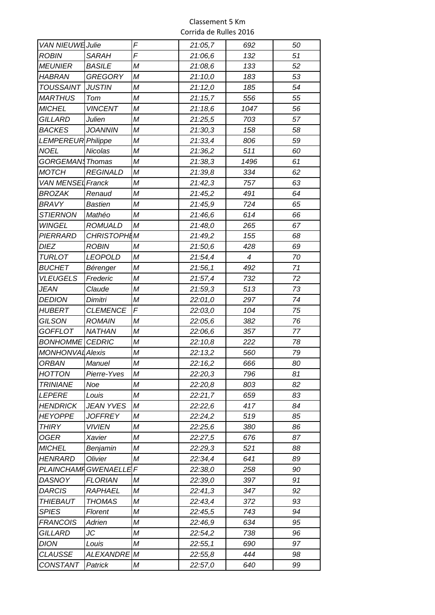| <b>VAN NIEUWE Julie</b>       |                        | F | 21:05,7 | 692                      | 50 |
|-------------------------------|------------------------|---|---------|--------------------------|----|
| <b>ROBIN</b>                  | <b>SARAH</b>           | F | 21:06,6 | 132                      | 51 |
| <b>MEUNIER</b>                | <b>BASILE</b>          | М | 21:08,6 | 133                      | 52 |
| <b>HABRAN</b>                 | <b>GREGORY</b>         | М | 21:10,0 | 183                      | 53 |
| <b>TOUSSAINT</b>              | <b>JUSTIN</b>          | М | 21:12,0 | 185                      | 54 |
| <b>MARTHUS</b>                | Tom                    | М | 21:15,7 | 556                      | 55 |
| <b>MICHEL</b>                 | <b>VINCENT</b>         | М | 21:18,6 | 1047                     | 56 |
| GILLARD                       | Julien                 | М | 21:25,5 | 703                      | 57 |
| <b>BACKES</b>                 | <b>JOANNIN</b>         | М | 21:30,3 | 158                      | 58 |
| <b>LEMPEREUR Philippe</b>     |                        | М | 21:33,4 | 806                      | 59 |
| <b>NOEL</b>                   | Nicolas                | М | 21:36,2 | 511                      | 60 |
| GORGEMAN <sup>\$</sup> Thomas |                        | М | 21:38,3 | 1496                     | 61 |
| <b>MOTCH</b>                  | <b>REGINALD</b>        | М | 21:39,8 | 334                      | 62 |
| <b>VAN MENSEL Franck</b>      |                        | М | 21:42,3 | 757                      | 63 |
| <b>BROZAK</b>                 | Renaud                 | М | 21:45,2 | 491                      | 64 |
| <b>BRAVY</b>                  | <b>Bastien</b>         | М | 21:45,9 | 724                      | 65 |
| <b>STIERNON</b>               | Mathéo                 | М | 21:46,6 | 614                      | 66 |
| <b>WINGEL</b>                 | <b>ROMUALD</b>         | M | 21:48,0 | 265                      | 67 |
| PIERRARD                      | <b>CHRISTOPHIM</b>     |   | 21:49,2 | 155                      | 68 |
| <b>DIEZ</b>                   | <b>ROBIN</b>           | М | 21:50,6 | 428                      | 69 |
| <b>TURLOT</b>                 | <b>LEOPOLD</b>         | М | 21:54,4 | $\overline{\mathcal{A}}$ | 70 |
| <b>BUCHET</b>                 | Bérenger               | М | 21:56,1 | 492                      | 71 |
| <b>VLEUGELS</b>               | Frederic               | М | 21:57,4 | 732                      | 72 |
| JEAN                          | Claude                 | М | 21:59,3 | 513                      | 73 |
| <b>DEDION</b>                 | Dimitri                | М | 22:01,0 | 297                      | 74 |
| <b>HUBERT</b>                 | <b>CLEMENCE</b>        | F | 22:03,0 | 104                      | 75 |
| <b>GILSON</b>                 | <b>ROMAIN</b>          | М | 22:05,6 | 382                      | 76 |
| GOFFLOT                       | <b>NATHAN</b>          | М | 22:06,6 | 357                      | 77 |
| <b>BONHOMME</b>               | <b>CEDRIC</b>          | М | 22:10,8 | 222                      | 78 |
| <b>MONHONVAL Alexis</b>       |                        | М | 22:13,2 | 560                      | 79 |
| <b>ORBAN</b>                  | Manuel                 | М | 22:16,2 | 666                      | 80 |
| <b>HOTTON</b>                 | Pierre-Yves            | М | 22:20,3 | 796                      | 81 |
| <b>TRINIANE</b>               | Noe                    | М | 22:20,8 | 803                      | 82 |
| <b>LEPERE</b>                 | Louis                  | М | 22:21,7 | 659                      | 83 |
| <b>HENDRICK</b>               | <b>JEAN YVES</b>       | M | 22:22,6 | 417                      | 84 |
| <b>HEYOPPE</b>                | <b>JOFFREY</b>         | М | 22:24,2 | 519                      | 85 |
| THIRY                         | <b>VIVIEN</b>          | М | 22:25,6 | 380                      | 86 |
| OGER                          | Xavier                 | М | 22:27,5 | 676                      | 87 |
| <b>MICHEL</b>                 | Benjamin               | М | 22:29,3 | 521                      | 88 |
| <b>HENRARD</b>                | Olivier                | М | 22:34,4 | 641                      | 89 |
|                               | PLAINCHAMH GWENAELLE F |   | 22:38,0 | 258                      | 90 |
| DASNOY                        | <b>FLORIAN</b>         | М | 22:39,0 | 397                      | 91 |
| <b>DARCIS</b>                 | <b>RAPHAEL</b>         | М | 22:41,3 | 347                      | 92 |
| <b>THIEBAUT</b>               | <b>THOMAS</b>          | М | 22:43,4 | 372                      | 93 |
| <b>SPIES</b>                  | Florent                | М | 22:45,5 | 743                      | 94 |
| <b>FRANCOIS</b>               | Adrien                 | М | 22:46,9 | 634                      | 95 |
| <b>GILLARD</b>                | JC                     | М | 22:54,2 | 738                      | 96 |
| <b>DION</b>                   | Louis                  | М | 22:55,1 | 690                      | 97 |
| <b>CLAUSSE</b>                | ALEXANDRE              | M | 22:55,8 | 444                      | 98 |
| CONSTANT                      | Patrick                | М | 22:57,0 | 640                      | 99 |
|                               |                        |   |         |                          |    |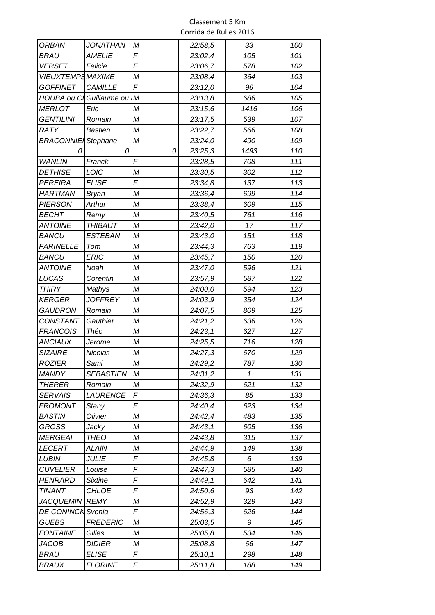| <b>ORBAN</b>               | <b>JONATHAN</b>          | $\mathcal M$ | 22:58,5 | 33   | 100 |
|----------------------------|--------------------------|--------------|---------|------|-----|
| <b>BRAU</b>                | <b>AMELIE</b>            | F            | 23:02,4 | 105  | 101 |
| <b>VERSET</b>              | Felicie                  | F            | 23:06,7 | 578  | 102 |
| <b>VIEUXTEMPS MAXIME</b>   |                          | M            | 23:08,4 | 364  | 103 |
| <b>GOFFINET</b>            | <b>CAMILLE</b>           | F            | 23:12,0 | 96   | 104 |
|                            | HOUBA ou Cl Guillaume ou | M            | 23:13,8 | 686  | 105 |
| <b>MERLOT</b>              | Eric                     | M            | 23:15,6 | 1416 | 106 |
| <b>GENTILINI</b>           | Romain                   | М            | 23:17,5 | 539  | 107 |
| <b>RATY</b>                | <b>Bastien</b>           | M            | 23:22,7 | 566  | 108 |
| <b>BRACONNIEN</b> Stephane |                          | M            | 23:24,0 | 490  | 109 |
| 0                          | 0                        | 0            | 23:25,3 | 1493 | 110 |
| <b>WANLIN</b>              | Franck                   | $\digamma$   | 23:28,5 | 708  | 111 |
| <b>DETHISE</b>             | LOIC                     | M            | 23:30,5 | 302  | 112 |
| PEREIRA                    | <b>ELISE</b>             | F            | 23:34,8 | 137  | 113 |
| <b>HARTMAN</b>             | <b>Bryan</b>             | М            | 23:36,4 | 699  | 114 |
| <b>PIERSON</b>             | Arthur                   | $\cal M$     | 23:38,4 | 609  | 115 |
| BECHT                      | Remy                     | M            | 23:40,5 | 761  | 116 |
| <b>ANTOINE</b>             | <b>THIBAUT</b>           | M            | 23:42,0 | 17   | 117 |
| <b>BANCU</b>               | <b>ESTEBAN</b>           | M            | 23:43,0 | 151  | 118 |
| <b>FARINELLE</b>           | Tom                      | М            | 23:44,3 | 763  | 119 |
| <b>BANCU</b>               | <b>ERIC</b>              | M            | 23:45,7 | 150  | 120 |
| ANTOINE                    | Noah                     | M            | 23:47,0 | 596  | 121 |
| <b>LUCAS</b>               | Corentin                 | M            | 23:57,9 | 587  | 122 |
| <b>THIRY</b>               | Mathys                   | M            | 24:00,0 | 594  | 123 |
| <b>KERGER</b>              | <b>JOFFREY</b>           | M            | 24:03,9 | 354  | 124 |
| <b>GAUDRON</b>             | Romain                   | M            | 24:07,5 | 809  | 125 |
| CONSTANT                   | Gauthier                 | М            | 24:21,2 | 636  | 126 |
| <b>FRANCOIS</b>            | Théo                     | M            | 24:23,1 | 627  | 127 |
| <b>ANCIAUX</b>             | Jerome                   | M            | 24:25,5 | 716  | 128 |
| <b>SIZAIRE</b>             | Nicolas                  | М            | 24:27,3 | 670  | 129 |
| <b>ROZIER</b>              | Sami                     | $\cal M$     | 24:29,2 | 787  | 130 |
| <b>MANDY</b>               | <b>SEBASTIEN</b>         | M            | 24:31,2 | 1    | 131 |
| <b>THERER</b>              | Romain                   | М            | 24:32,9 | 621  | 132 |
| <b>SERVAIS</b>             | <b>LAURENCE</b>          | F            | 24:36,3 | 85   | 133 |
| <b>FROMONT</b>             | Stany                    | F            | 24:40,4 | 623  | 134 |
| <b>BASTIN</b>              | Olivier                  | М            | 24:42,4 | 483  | 135 |
| <b>GROSS</b>               | Jacky                    | M            | 24:43,1 | 605  | 136 |
| <b>MERGEAI</b>             | <b>THEO</b>              | M            | 24:43,8 | 315  | 137 |
| <b>LECERT</b>              | <b>ALAIN</b>             | М            | 24:44,9 | 149  | 138 |
| <b>LUBIN</b>               | <b>JULIE</b>             | F            | 24:45,8 | 6    | 139 |
| <b>CUVELIER</b>            | Louise                   | F            | 24:47,3 | 585  | 140 |
| <b>HENRARD</b>             | <b>Sixtine</b>           | F            | 24:49,1 | 642  | 141 |
| <b>TINANT</b>              | <b>CHLOE</b>             | F            | 24:50,6 | 93   | 142 |
| <b>JACQUEMIN REMY</b>      |                          | М            | 24:52,9 | 329  | 143 |
| <b>DE CONINCK Svenia</b>   |                          | F            | 24:56,3 | 626  | 144 |
| <b>GUEBS</b>               | <b>FREDERIC</b>          | М            | 25:03,5 | 9    | 145 |
| <b>FONTAINE</b>            | Gilles                   | М            | 25:05,8 | 534  | 146 |
| JACOB                      | <b>DIDIER</b>            | М            | 25:08,8 | 66   | 147 |
| <b>BRAU</b>                | <b>ELISE</b>             | F            | 25:10,1 | 298  | 148 |
| <b>BRAUX</b>               | <b>FLORINE</b>           | F            | 25:11,8 | 188  | 149 |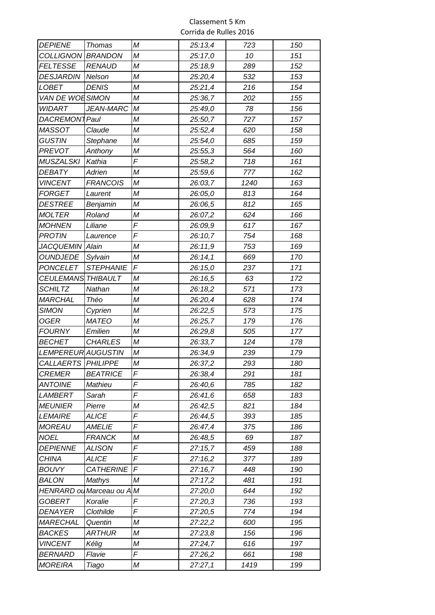| <b>DEPIENE</b>            | Thomas                   | М | 25:13,4 | 723  | 150 |
|---------------------------|--------------------------|---|---------|------|-----|
| <b>COLLIGNON</b>          | <b>BRANDON</b>           | M | 25:17,0 | 10   | 151 |
| <b>FELTESSE</b>           | <b>RENAUD</b>            | М | 25:18,9 | 289  | 152 |
| <b>DESJARDIN</b>          | <b>Nelson</b>            | М | 25:20,4 | 532  | 153 |
| LOBET                     | <b>DENIS</b>             | M | 25:21,4 | 216  | 154 |
| VAN DE WOE SIMON          |                          | М | 25:36,7 | 202  | 155 |
| WIDART                    | <b>JEAN-MARC</b>         | M | 25:49,0 | 78   | 156 |
| DACREMONT Paul            |                          | M | 25:50,7 | 727  | 157 |
| <b>MASSOT</b>             | Claude                   | M | 25:52,4 | 620  | 158 |
| <b>GUSTIN</b>             | Stephane                 | М | 25:54,0 | 685  | 159 |
| <b>PREVOT</b>             | Anthony                  | М | 25:55,3 | 564  | 160 |
| <b>MUSZALSKI</b>          | Kathia                   | F | 25:58,2 | 718  | 161 |
| <b>DEBATY</b>             | Adrien                   | М | 25:59,6 | 777  | 162 |
| <b>VINCENT</b>            | <b>FRANCOIS</b>          | M | 26:03,7 | 1240 | 163 |
| FORGET                    | Laurent                  | M | 26:05,0 | 813  | 164 |
| <b>DESTREE</b>            | Benjamin                 | М | 26:06,5 | 812  | 165 |
| <b>MOLTER</b>             | Roland                   | M | 26:07,2 | 624  | 166 |
| <b>MOHNEN</b>             | Liliane                  | F | 26:09,9 | 617  | 167 |
| <b>PROTIN</b>             | Laurence                 | F | 26:10,7 | 754  | 168 |
| <b>JACQUEMIN</b>          | Alain                    | М | 26:11,9 | 753  | 169 |
| <b>OUNDJEDE</b>           | Sylvain                  | M | 26:14,1 | 669  | 170 |
| <b>PONCELET</b>           | <b>STEPHANIE</b>         | F | 26:15,0 | 237  | 171 |
| CEULEMANS THIBAULT        |                          | M | 26:16,5 | 63   | 172 |
| <b>SCHILTZ</b>            | Nathan                   | M | 26:18,2 | 571  | 173 |
| <b>MARCHAL</b>            | Théo                     | М | 26:20,4 | 628  | 174 |
| <b>SIMON</b>              | Cyprien                  | М | 26:22,5 | 573  | 175 |
| <b>OGER</b>               | <b>MATEO</b>             | М | 26:25,7 | 179  | 176 |
| <b>FOURNY</b>             | Emilien                  | M | 26:29,8 | 505  | 177 |
| <b>BECHET</b>             | <b>CHARLES</b>           | М | 26:33,7 | 124  | 178 |
| <b>LEMPEREUR AUGUSTIN</b> |                          | М | 26:34,9 | 239  | 179 |
| CALLAERTS PHILIPPE        |                          | М | 26:37,2 | 293  | 180 |
| <b>CREMER</b>             | <b>BEATRICE</b>          | F | 26:38,4 | 291  | 181 |
| <b>ANTOINE</b>            | Mathieu                  | F | 26:40,6 | 785  | 182 |
| <b>LAMBERT</b>            | Sarah                    | F | 26:41,6 | 658  | 183 |
| <b>MEUNIER</b>            | Pierre                   | M | 26:42,5 | 821  | 184 |
| <b>LEMAIRE</b>            | <b>ALICE</b>             | F | 26:44,5 | 393  | 185 |
| <b>MOREAU</b>             | <b>AMELIE</b>            | F | 26:47,4 | 375  | 186 |
| <b>NOEL</b>               | <b>FRANCK</b>            | M | 26:48,5 | 69   | 187 |
| <b>DEPIENNE</b>           | <b>ALISON</b>            | F | 27:15,7 | 459  | 188 |
| <b>CHINA</b>              | <b>ALICE</b>             | F | 27:16,2 | 377  | 189 |
| <b>BOUVY</b>              | <b>CATHERINE</b>         | F | 27:16,7 | 448  | 190 |
| <b>BALON</b>              | Mathys                   | М | 27:17,2 | 481  | 191 |
|                           | HENRARD ou Marceau ou AM |   | 27:20,0 | 644  | 192 |
| <b>GOBERT</b>             | Koralie                  | F | 27:20,3 | 736  | 193 |
| <b>DENAYER</b>            | Clothilde                | F | 27:20,5 | 774  | 194 |
| <b>MARECHAL</b>           | Quentin                  | М | 27:22,2 | 600  | 195 |
| <b>BACKES</b>             | <b>ARTHUR</b>            | М | 27:23,8 | 156  | 196 |
| <b>VINCENT</b>            | Kélig                    | Μ | 27:24,7 | 616  | 197 |
| <b>BERNARD</b>            | Flavie                   | F | 27:26,2 | 661  | 198 |
| <b>MOREIRA</b>            | Tiago                    | Μ | 27:27,1 | 1419 | 199 |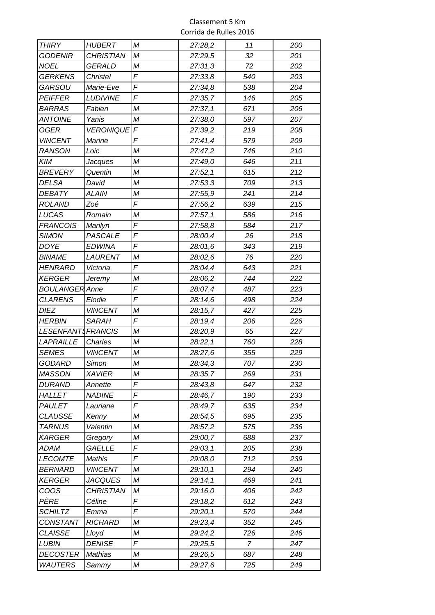| <b>THIRY</b>          | <b>HUBERT</b>    | М              | 27:28,2 | 11  | 200 |
|-----------------------|------------------|----------------|---------|-----|-----|
| <b>GODENIR</b>        | <b>CHRISTIAN</b> | M              | 27:29,5 | 32  | 201 |
| <b>NOEL</b>           | <b>GERALD</b>    | M              | 27:31,3 | 72  | 202 |
| <b>GERKENS</b>        | Christel         | F              | 27:33,8 | 540 | 203 |
| GARSOU                | Marie-Eve        | F              | 27:34,8 | 538 | 204 |
| PEIFFER               | <b>LUDIVINE</b>  | F              | 27:35,7 | 146 | 205 |
| <b>BARRAS</b>         | Fabien           | M              | 27:37,1 | 671 | 206 |
| <b>ANTOINE</b>        | Yanis            | M              | 27:38,0 | 597 | 207 |
| <b>OGER</b>           | <b>VERONIQUE</b> | $\overline{F}$ | 27:39,2 | 219 | 208 |
| <b>VINCENT</b>        | Marine           | F              | 27:41,4 | 579 | 209 |
| <b>RANSON</b>         | Loic             | М              | 27:47,2 | 746 | 210 |
| KIM                   | Jacques          | M              | 27:49,0 | 646 | 211 |
| <b>BREVERY</b>        | Quentin          | М              | 27:52,1 | 615 | 212 |
| <b>DELSA</b>          | David            | M              | 27:53,3 | 709 | 213 |
| <b>DEBATY</b>         | <b>ALAIN</b>     | М              | 27:55,9 | 241 | 214 |
| <b>ROLAND</b>         | Zoé              | F              | 27:56,2 | 639 | 215 |
| LUCAS                 | Romain           | M              | 27:57,1 | 586 | 216 |
| <b>FRANCOIS</b>       | Marilyn          | F              | 27:58,8 | 584 | 217 |
| <b>SIMON</b>          | <b>PASCALE</b>   | F              | 28:00,4 | 26  | 218 |
| <b>DOYE</b>           | <b>EDWINA</b>    | F              | 28:01,6 | 343 | 219 |
| <b>BINAME</b>         | <b>LAURENT</b>   | Μ              | 28:02,6 | 76  | 220 |
| <b>HENRARD</b>        | Victoria         | F              | 28:04,4 | 643 | 221 |
| <b>KERGER</b>         | Jeremy           | M              | 28:06,2 | 744 | 222 |
| <b>BOULANGER Anne</b> |                  | F              | 28:07,4 | 487 | 223 |
| <b>CLARENS</b>        | Elodie           | F              | 28:14,6 | 498 | 224 |
| <b>DIEZ</b>           | <b>VINCENT</b>   | М              | 28:15,7 | 427 | 225 |
| <b>HERBIN</b>         | <b>SARAH</b>     | F              | 28:19,4 | 206 | 226 |
| LESENFANTSFRANCIS     |                  | M              | 28:20,9 | 65  | 227 |
| LAPRAILLE             | Charles          | М              | 28:22,1 | 760 | 228 |
| <b>SEMES</b>          | <b>VINCENT</b>   | М              | 28:27,6 | 355 | 229 |
| <b>GODARD</b>         | Simon            | М              | 28:34,3 | 707 | 230 |
| <b>MASSON</b>         | <b>XAVIER</b>    | М              | 28:35,7 | 269 | 231 |
| <b>DURAND</b>         | Annette          | F              | 28:43,8 | 647 | 232 |
| <b>HALLET</b>         | <b>NADINE</b>    | F              | 28:46,7 | 190 | 233 |
| PAULET                | Lauriane         | F              | 28:49,7 | 635 | 234 |
| <b>CLAUSSE</b>        | Kenny            | M              | 28:54,5 | 695 | 235 |
| <b>TARNUS</b>         | Valentin         | М              | 28:57,2 | 575 | 236 |
| <b>KARGER</b>         | Gregory          | M              | 29:00,7 | 688 | 237 |
| <b>ADAM</b>           | <b>GAELLE</b>    | F              | 29:03,1 | 205 | 238 |
| <b>LECOMTE</b>        | <b>Mathis</b>    | F              | 29:08,0 | 712 | 239 |
| <b>BERNARD</b>        | <b>VINCENT</b>   | Μ              | 29:10,1 | 294 | 240 |
| <b>KERGER</b>         | <b>JACQUES</b>   | М              | 29:14,1 | 469 | 241 |
| COOS                  | <b>CHRISTIAN</b> | Μ              | 29:16,0 | 406 | 242 |
| PÈRE                  | Céline           | F              | 29:18,2 | 612 | 243 |
| <b>SCHILTZ</b>        | Emma             | F              | 29:20,1 | 570 | 244 |
| CONSTANT              | <b>RICHARD</b>   | Μ              | 29:23,4 | 352 | 245 |
| <b>CLAISSE</b>        | Lloyd            | М              | 29:24,2 | 726 | 246 |
| LUBIN                 | <b>DENISE</b>    | F              | 29:25,5 | 7   | 247 |
| <b>DECOSTER</b>       | Mathias          | М              | 29:26,5 | 687 | 248 |
| <b>WAUTERS</b>        | Sammy            | Μ              | 29:27,6 | 725 | 249 |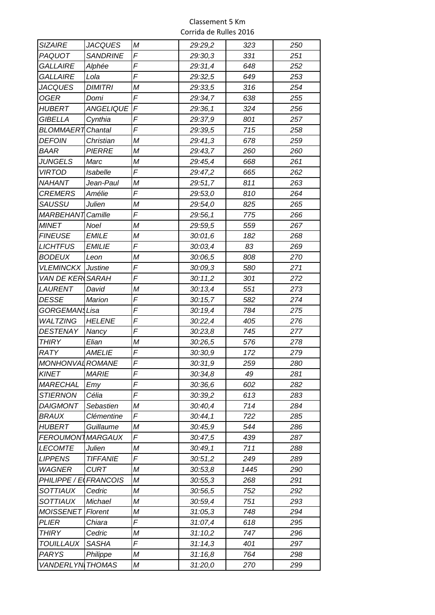| <b>SIZAIRE</b>           | <b>JACQUES</b>   | М              | 29:29,2 | 323  | 250 |
|--------------------------|------------------|----------------|---------|------|-----|
| PAQUOT                   | <b>SANDRINE</b>  | F              | 29:30,3 | 331  | 251 |
| <b>GALLAIRE</b>          | Alphée           | F              | 29:31,4 | 648  | 252 |
| <b>GALLAIRE</b>          | Lola             | F              | 29:32,5 | 649  | 253 |
| <b>JACQUES</b>           | <b>DIMITRI</b>   | M              | 29:33,5 | 316  | 254 |
| <b>OGER</b>              | Domi             | F              | 29:34,7 | 638  | 255 |
| <b>HUBERT</b>            | <b>ANGELIQUE</b> | $\overline{F}$ | 29:36,1 | 324  | 256 |
| <b>GIBELLA</b>           | Cynthia          | F              | 29:37,9 | 801  | 257 |
| <b>BLOMMAER7</b> Chantal |                  | F              | 29:39,5 | 715  | 258 |
| <b>DEFOIN</b>            | Christian        | M              | 29:41,3 | 678  | 259 |
| BAAR                     | <b>PIERRE</b>    | M              | 29:43,7 | 260  | 260 |
| <b>JUNGELS</b>           | Marc             | M              | 29:45,4 | 668  | 261 |
| <b>VIRTOD</b>            | <b>Isabelle</b>  | F              | 29:47,2 | 665  | 262 |
| NAHANT                   | Jean-Paul        | M              | 29:51,7 | 811  | 263 |
| <b>CREMERS</b>           | Amélie           | F              | 29:53,0 | 810  | 264 |
| <b>SAUSSU</b>            | Julien           | M              | 29:54,0 | 825  | 265 |
| MARBEHANT Camille        |                  | F              | 29:56,1 | 775  | 266 |
| <b>MINET</b>             | Noel             | M              | 29:59,5 | 559  | 267 |
| <b>FINEUSE</b>           | <b>EMILE</b>     | M              | 30:01,6 | 182  | 268 |
| <b>LICHTFUS</b>          | <b>EMILIE</b>    | F              | 30:03,4 | 83   | 269 |
| <b>BODEUX</b>            | Leon             | M              | 30:06,5 | 808  | 270 |
| <b>VLEMINCKX</b>         | <b>Justine</b>   | F              | 30:09,3 | 580  | 271 |
| <b>VAN DE KERI SARAH</b> |                  | F              | 30:11,2 | 301  | 272 |
| <b>LAURENT</b>           | David            | M              | 30:13,4 | 551  | 273 |
| <b>DESSE</b>             | Marion           | F              | 30:15,7 | 582  | 274 |
| GORGEMAN Lisa            |                  | F              | 30:19,4 | 784  | 275 |
| <b>WALTZING</b>          | <b>HELENE</b>    | F              | 30:22,4 | 405  | 276 |
| <b>DESTENAY</b>          | Nancy            | F              | 30:23,8 | 745  | 277 |
| <b>THIRY</b>             | Elian            | M              | 30:26,5 | 576  | 278 |
| <b>RATY</b>              | <b>AMELIE</b>    | F              | 30:30,9 | 172  | 279 |
| <b>MONHONVAL ROMANE</b>  |                  | F              | 30:31,9 | 259  | 280 |
| <b>KINET</b>             | <b>MARIE</b>     | F              | 30:34,8 | 49   | 281 |
| <b>MARECHAL</b>          | Emy              | F              | 30:36,6 | 602  | 282 |
| <b>STIERNON</b>          | Célia            | F              | 30:39,2 | 613  | 283 |
| <b>DAIGMONT</b>          | Sebastien        | M              | 30:40,4 | 714  | 284 |
| <b>BRAUX</b>             | Clémentine       | F              | 30:44,1 | 722  | 285 |
| <b>HUBERT</b>            | Guillaume        | ${\cal M}$     | 30:45,9 | 544  | 286 |
| <b>FEROUMON</b>          | <b>MARGAUX</b>   | F              | 30:47,5 | 439  | 287 |
| <b>LECOMTE</b>           | Julien           | Μ              | 30:49,1 | 711  | 288 |
| <b>LIPPENS</b>           | <b>TIFFANIE</b>  | F              | 30:51,2 | 249  | 289 |
| WAGNER                   | <b>CURT</b>      | М              | 30:53,8 | 1445 | 290 |
| PHILIPPE / E             | <b>FRANCOIS</b>  | M              | 30:55,3 | 268  | 291 |
| <b>SOTTIAUX</b>          | Cedric           | М              | 30:56,5 | 752  | 292 |
| <b>SOTTIAUX</b>          | Michael          | М              | 30:59,4 | 751  | 293 |
| <b>MOISSENET</b>         | Florent          | М              | 31:05,3 | 748  | 294 |
| <b>PLIER</b>             | Chiara           | F              | 31:07,4 | 618  | 295 |
| THIRY                    | Cedric           | M              | 31:10,2 | 747  | 296 |
| TOUILLAUX                | <b>SASHA</b>     | F              | 31:14,3 | 401  | 297 |
| <b>PARYS</b>             | Philippe         | М              | 31:16,8 | 764  | 298 |
| <b>VANDERLYN THOMAS</b>  |                  | М              | 31:20,0 | 270  | 299 |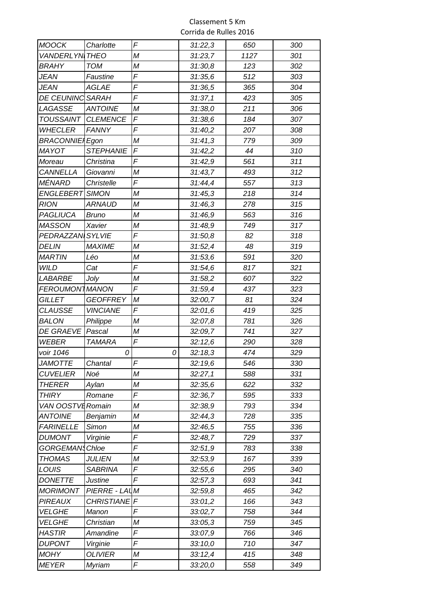| <b>MOOCK</b>           | Charlotte         | F          | 31:22,3 | 650  | 300 |
|------------------------|-------------------|------------|---------|------|-----|
| <b>VANDERLYN THEO</b>  |                   | М          | 31:23,7 | 1127 | 301 |
| <b>BRAHY</b>           | <b>TOM</b>        | М          | 31:30,8 | 123  | 302 |
| <b>JEAN</b>            | Faustine          | F          | 31:35,6 | 512  | 303 |
| JEAN                   | <b>AGLAE</b>      | F          | 31:36,5 | 365  | 304 |
| <b>DE CEUNINC</b>      | <b>SARAH</b>      | F          | 31:37,1 | 423  | 305 |
| LAGASSE                | <b>ANTOINE</b>    | М          | 31:38,0 | 211  | 306 |
| <b>TOUSSAINT</b>       | <b>CLEMENCE</b>   | F          | 31:38,6 | 184  | 307 |
| <b>WHECLER</b>         | <b>FANNY</b>      | F          | 31:40,2 | 207  | 308 |
| <b>BRACONNIEI</b> Egon |                   | М          | 31:41,3 | 779  | 309 |
| MAYOT                  | <b>STEPHANIE</b>  | $\digamma$ | 31:42,2 | 44   | 310 |
| Moreau                 | Christina         | F          | 31:42,9 | 561  | 311 |
| <b>CANNELLA</b>        | Giovanni          | М          | 31:43,7 | 493  | 312 |
| MÉNARD                 | Christelle        | F          | 31:44,4 | 557  | 313 |
| <b>ENGLEBERT</b>       | <b>SIMON</b>      | М          | 31:45,3 | 218  | 314 |
| <b>RION</b>            | <b>ARNAUD</b>     | М          | 31:46,3 | 278  | 315 |
| PAGLIUCA               | <b>Bruno</b>      | М          | 31:46,9 | 563  | 316 |
| <b>MASSON</b>          | Xavier            | ${\cal M}$ | 31:48,9 | 749  | 317 |
| PEDRAZZAN SYLVIE       |                   | F          | 31:50,8 | 82   | 318 |
| <b>DELIN</b>           | <b>MAXIME</b>     | М          | 31:52,4 | 48   | 319 |
| <b>MARTIN</b>          | Léo               | М          | 31:53,6 | 591  | 320 |
| <b>WILD</b>            | Cat               | F          | 31:54,6 | 817  | 321 |
| <b>LABARBE</b>         | Joly              | М          | 31:58,2 | 607  | 322 |
| <b>FEROUMON1 MANON</b> |                   | $\digamma$ | 31:59,4 | 437  | 323 |
| <b>GILLET</b>          | <b>GEOFFREY</b>   | М          | 32:00,7 | 81   | 324 |
| <b>CLAUSSE</b>         | <b>VINCIANE</b>   | F          | 32:01,6 | 419  | 325 |
| <b>BALON</b>           | Philippe          | М          | 32:07,8 | 781  | 326 |
| <b>DE GRAEVE</b>       | Pascal            | М          | 32:09,7 | 741  | 327 |
| <b>WEBER</b>           | <b>TAMARA</b>     | F          | 32:12,6 | 290  | 328 |
| voir 1046              | 0                 | 0          | 32:18,3 | 474  | 329 |
| <b>JAMOTTE</b>         | Chantal           | F          | 32:19,6 | 546  | 330 |
| <b>CUVELIER</b>        | Noé               | М          | 32:27,1 | 588  | 331 |
| THERER                 | Aylan             | М          | 32:35,6 | 622  | 332 |
| <b>THIRY</b>           | Romane            | F          | 32:36,7 | 595  | 333 |
| VAN OOSTVI Romain      |                   | М          | 32:38,9 | 793  | 334 |
| <b>ANTOINE</b>         | Benjamin          | М          | 32:44,3 | 728  | 335 |
| <b>FARINELLE</b>       | Simon             | М          | 32:46,5 | 755  | 336 |
| <b>DUMONT</b>          | Virginie          | F          | 32:48,7 | 729  | 337 |
| <b>GORGEMAN</b> Chloe  |                   | F          | 32:51,9 | 783  | 338 |
| <b>THOMAS</b>          | JULIEN            | М          | 32:53,9 | 167  | 339 |
| LOUIS                  | <b>SABRINA</b>    | F          | 32:55,6 | 295  | 340 |
| <b>DONETTE</b>         | <b>Justine</b>    | F          | 32:57,3 | 693  | 341 |
| <b>MORIMONT</b>        | PIERRE - LAUM     |            | 32:59,8 | 465  | 342 |
| PIREAUX                | <b>CHRISTIANE</b> | $\sqrt{ }$ | 33:01,2 | 166  | 343 |
| <b>VELGHE</b>          | Manon             | F          | 33:02,7 | 758  | 344 |
| <b>VELGHE</b>          | Christian         | М          | 33:05,3 | 759  | 345 |
| <b>HASTIR</b>          | Amandine          | F          | 33:07,9 | 766  | 346 |
| <b>DUPONT</b>          | Virginie          | F          | 33:10,0 | 710  | 347 |
| <b>MOHY</b>            | <b>OLIVIER</b>    | М          | 33:12,4 | 415  | 348 |
| <b>MEYER</b>           | <b>Myriam</b>     | F          | 33:20,0 | 558  | 349 |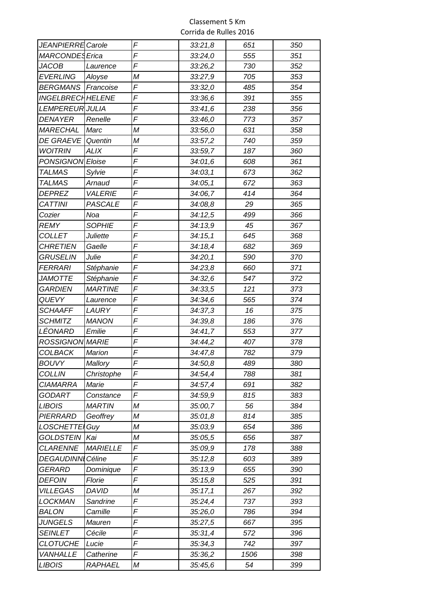| <b>JEANPIERRE Carole</b> |                 | F | 33:21,8 | 651  | 350 |
|--------------------------|-----------------|---|---------|------|-----|
| <b>MARCONDES</b> Erica   |                 | F | 33:24,0 | 555  | 351 |
| JACOB                    | Laurence        | F | 33:26,2 | 730  | 352 |
| <b>EVERLING</b>          | Aloyse          | M | 33:27,9 | 705  | 353 |
| <b>BERGMANS</b>          | Francoise       | F | 33:32,0 | 485  | 354 |
| <b>INGELBRECH HELENE</b> |                 | F | 33:36,6 | 391  | 355 |
| LEMPEREUR JULIA          |                 | F | 33:41,6 | 238  | 356 |
| <b>DENAYER</b>           | Renelle         | F | 33:46,0 | 773  | 357 |
| <b>MARECHAL</b>          | Marc            | M | 33:56,0 | 631  | 358 |
| <b>DE GRAEVE</b>         | Quentin         | M | 33:57,2 | 740  | 359 |
| <b>WOITRIN</b>           | <b>ALIX</b>     | F | 33:59,7 | 187  | 360 |
| <b>PONSIGNON</b>         | Eloise          | F | 34:01,6 | 608  | 361 |
| <b>TALMAS</b>            | Sylvie          | F | 34:03,1 | 673  | 362 |
| <b>TALMAS</b>            | Arnaud          | F | 34:05,1 | 672  | 363 |
| <b>DEPREZ</b>            | <b>VALERIE</b>  | F | 34:06,7 | 414  | 364 |
| <b>CATTINI</b>           | PASCALE         | F | 34:08,8 | 29   | 365 |
| Cozier                   | Noa             | F | 34:12,5 | 499  | 366 |
| REMY                     | <b>SOPHIE</b>   | F | 34:13,9 | 45   | 367 |
| COLLET                   | <b>Juliette</b> | F | 34:15,1 | 645  | 368 |
| <b>CHRETIEN</b>          | Gaelle          | F | 34:18,4 | 682  | 369 |
| <b>GRUSELIN</b>          | Julie           | F | 34:20,1 | 590  | 370 |
| <b>FERRARI</b>           | Stéphanie       | F | 34:23,8 | 660  | 371 |
| <b>JAMOTTE</b>           | Stéphanie       | F | 34:32,6 | 547  | 372 |
| <b>GARDIEN</b>           | <b>MARTINE</b>  | F | 34:33,5 | 121  | 373 |
| QUEVY                    | Laurence        | F | 34:34,6 | 565  | 374 |
| <b>SCHAAFF</b>           | LAURY           | F | 34:37,3 | 16   | 375 |
| <b>SCHMITZ</b>           | <b>MANON</b>    | F | 34:39,8 | 186  | 376 |
| LÉONARD                  | Emilie          | F | 34:41,7 | 553  | 377 |
| <b>ROSSIGNON MARIE</b>   |                 | F | 34:44,2 | 407  | 378 |
| <b>COLBACK</b>           | <b>Marion</b>   | F | 34:47,8 | 782  | 379 |
| <b>BOUVY</b>             | Mallory         | F | 34:50,8 | 489  | 380 |
| <b>COLLIN</b>            | Christophe      | F | 34:54,4 | 788  | 381 |
| <b>CIAMARRA</b>          | Marie           | F | 34:57,4 | 691  | 382 |
| GODART                   | Constance       | F | 34:59,9 | 815  | 383 |
| LIBOIS                   | MARTIN          | Μ | 35:00,7 | 56   | 384 |
| PIERRARD                 | Geoffrey        | М | 35:01,8 | 814  | 385 |
| LOSCHETTE Guy            |                 | Μ | 35:03,9 | 654  | 386 |
| <b>GOLDSTEIN</b>         | Kai             | Μ | 35:05,5 | 656  | 387 |
| <b>CLARENNE</b>          | <b>MARIELLE</b> | F | 35:09,9 | 178  | 388 |
| <b>DEGAUDINN</b>         | Céline          | F | 35:12,8 | 603  | 389 |
| GERARD                   | Dominique       | F | 35:13,9 | 655  | 390 |
| <b>DEFOIN</b>            | Florie          | F | 35:15,8 | 525  | 391 |
| <b>VILLEGAS</b>          | <b>DAVID</b>    | М | 35:17,1 | 267  | 392 |
| LOCKMAN                  | Sandrine        | F | 35:24,4 | 737  | 393 |
| <b>BALON</b>             | Camille         | F | 35:26,0 | 786  | 394 |
| <b>JUNGELS</b>           | Mauren          | F | 35:27,5 | 667  | 395 |
| <b>SEINLET</b>           | Cécile          | F | 35:31,4 | 572  | 396 |
| <b>CLOTUCHE</b>          | Lucie           | F | 35:34,3 | 742  | 397 |
| VANHALLE                 | Catherine       | F | 35:36,2 | 1506 | 398 |
| <b>LIBOIS</b>            | <b>RAPHAEL</b>  | М | 35:45,6 | 54   | 399 |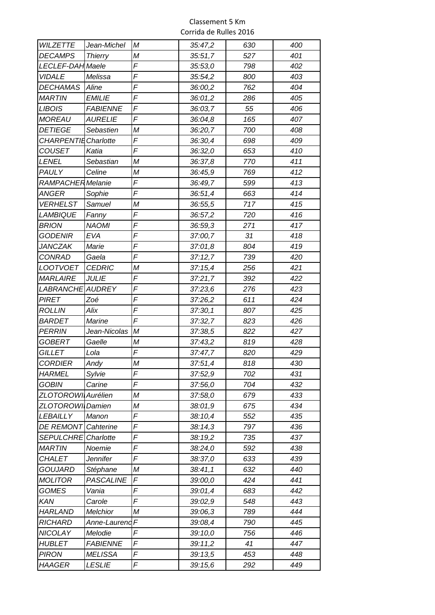| <b>WILZETTE</b>             | Jean-Michel      | М          | 35:47,2 | 630 | 400 |
|-----------------------------|------------------|------------|---------|-----|-----|
| <b>DECAMPS</b>              | <b>Thierry</b>   | M          | 35:51,7 | 527 | 401 |
| LECLEF-DAH Maele            |                  | F          | 35:53,0 | 798 | 402 |
| <b>VIDALE</b>               | Melissa          | F          | 35:54,2 | 800 | 403 |
| <b>DECHAMAS</b>             | Aline            | F          | 36:00,2 | 762 | 404 |
| <b>MARTIN</b>               | <b>EMILIE</b>    | F          | 36:01,2 | 286 | 405 |
| <b>LIBOIS</b>               | <b>FABIENNE</b>  | F          | 36:03,7 | 55  | 406 |
| <b>MOREAU</b>               | <b>AURELIE</b>   | F          | 36:04,8 | 165 | 407 |
| <b>DETIEGE</b>              | Sebastien        | M          | 36:20,7 | 700 | 408 |
| <b>CHARPENTIE Charlotte</b> |                  | F          | 36:30,4 | 698 | 409 |
| <b>COUSET</b>               | Katia            | F          | 36:32,0 | 653 | 410 |
| <b>LENEL</b>                | Sebastian        | M          | 36:37,8 | 770 | 411 |
| <b>PAULY</b>                | Celine           | М          | 36:45,9 | 769 | 412 |
| RAMPACHER Melanie           |                  | F          | 36:49,7 | 599 | 413 |
| ANGER                       | Sophie           | F          | 36:51,4 | 663 | 414 |
| <b>VERHELST</b>             | <b>Samuel</b>    | M          | 36:55,5 | 717 | 415 |
| <b>LAMBIQUE</b>             | Fanny            | F          | 36:57,2 | 720 | 416 |
| <b>BRION</b>                | <b>NAOMI</b>     | F          | 36:59,3 | 271 | 417 |
| <b>GODENIR</b>              | <b>EVA</b>       | F          | 37:00,7 | 31  | 418 |
| <b>JANCZAK</b>              | Marie            | F          | 37:01,8 | 804 | 419 |
| <b>CONRAD</b>               | Gaela            | F          | 37:12,7 | 739 | 420 |
| <b>LOOTVOET</b>             | <b>CEDRIC</b>    | M          | 37:15,4 | 256 | 421 |
| <b>MARLAIRE</b>             | <b>JULIE</b>     | F          | 37:21,7 | 392 | 422 |
|                             |                  | F          |         |     |     |
| LABRANCHE                   | <b>AUDREY</b>    | F          | 37:23,6 | 276 | 423 |
| <b>PIRET</b>                | Zoé              |            | 37:26,2 | 611 | 424 |
| <b>ROLLIN</b>               | Alix             | F          | 37:30,1 | 807 | 425 |
| <b>BARDET</b>               | Marine           | F          | 37:32,7 | 823 | 426 |
| <b>PERRIN</b>               | Jean-Nicolas     | M          | 37:38,5 | 822 | 427 |
| GOBERT                      | Gaelle           | Μ          | 37:43,2 | 819 | 428 |
| <b>GILLET</b>               | Lola             | F          | 37:47,7 | 820 | 429 |
| <b>CORDIER</b>              | Andy             | М          | 37:51,4 | 818 | 430 |
| <b>HARMEL</b>               | Sylvie           | F          | 37:52,9 | 702 | 431 |
| <b>GOBIN</b>                | Carine           | F          | 37:56,0 | 704 | 432 |
| ZLOTOROWI Aurélien          |                  | М          | 37:58,0 | 679 | 433 |
| ZLOTOROWI Damien            |                  | ${\cal M}$ | 38:01,9 | 675 | 434 |
| <b>LEBAILLY</b>             | Manon            | F          | 38:10,4 | 552 | 435 |
| <b>DE REMONT</b>            | Cahterine        | F          | 38:14,3 | 797 | 436 |
| <b>SEPULCHRE</b>            | Charlotte        | F          | 38:19,2 | 735 | 437 |
| <b>MARTIN</b>               | Noemie           | F          | 38:24,0 | 592 | 438 |
| <b>CHALET</b>               | Jennifer         | F          | 38:37,0 | 633 | 439 |
| GOUJARD                     | Stéphane         | Μ          | 38:41,1 | 632 | 440 |
| <b>MOLITOR</b>              | <b>PASCALINE</b> | F          | 39:00,0 | 424 | 441 |
| <b>GOMES</b>                | Vania            | F          | 39:01,4 | 683 | 442 |
| <b>KAN</b>                  | Carole           | F          | 39:02,9 | 548 | 443 |
| <b>HARLAND</b>              | <b>Melchior</b>  | Μ          | 39:06,3 | 789 | 444 |
| <b>RICHARD</b>              | Anne-Laurend     | $\sqrt{2}$ | 39:08,4 | 790 | 445 |
| <b>NICOLAY</b>              | Melodie          | F          | 39:10,0 | 756 | 446 |
| <b>HUBLET</b>               | <b>FABIENNE</b>  | F          | 39:11,2 | 41  | 447 |
| <b>PIRON</b>                | <b>MELISSA</b>   | F          | 39:13,5 | 453 | 448 |
| <b>HAAGER</b>               | <b>LESLIE</b>    | F          | 39:15,6 | 292 | 449 |